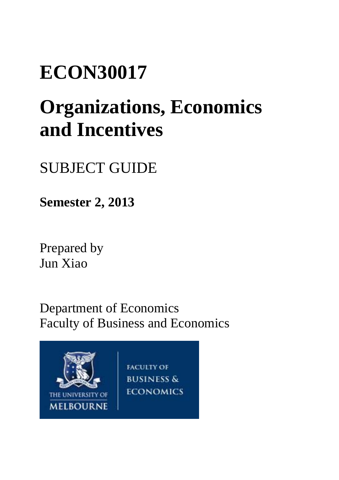# **ECON30017**

# **Organizations, Economics and Incentives**

# SUBJECT GUIDE

**Semester 2, 2013**

Prepared by Jun Xiao

Department of Economics Faculty of Business and Economics

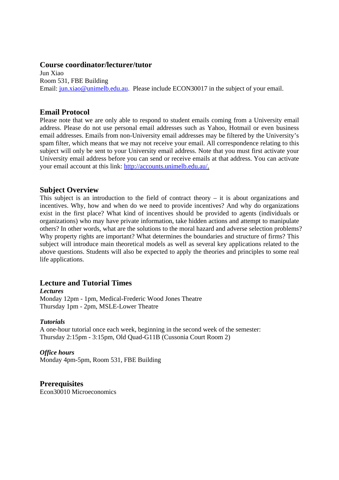#### **Course coordinator/lecturer/tutor**

Jun Xiao Room 531, FBE Building Email: jun.xiao@unimelb.edu.au. Please include ECON30017 in the subject of your email.

#### **Email Protocol**

Please note that we are only able to respond to student emails coming from a University email address. Please do not use personal email addresses such as Yahoo, Hotmail or even business email addresses. Emails from non-University email addresses may be filtered by the University's spam filter, which means that we may not receive your email. All correspondence relating to this subject will only be sent to your University email address. Note that you must first activate your University email address before you can send or receive emails at that address. You can activate your email account at this link: http://accounts.unimelb.edu.au/.

#### **Subject Overview**

This subject is an introduction to the field of contract theory – it is about organizations and incentives. Why, how and when do we need to provide incentives? And why do organizations exist in the first place? What kind of incentives should be provided to agents (individuals or organizations) who may have private information, take hidden actions and attempt to manipulate others? In other words, what are the solutions to the moral hazard and adverse selection problems? Why property rights are important? What determines the boundaries and structure of firms? This subject will introduce main theoretical models as well as several key applications related to the above questions. Students will also be expected to apply the theories and principles to some real life applications.

# **Lecture and Tutorial Times**

#### *Lectures*

Monday 12pm - 1pm, Medical-Frederic Wood Jones Theatre Thursday 1pm - 2pm, MSLE-Lower Theatre

#### *Tutorials*

A one-hour tutorial once each week, beginning in the second week of the semester: Thursday 2:15pm - 3:15pm, Old Quad-G11B (Cussonia Court Room 2)

#### *Office hours*

Monday 4pm-5pm, Room 531, FBE Building

# **Prerequisites**

Econ30010 Microeconomics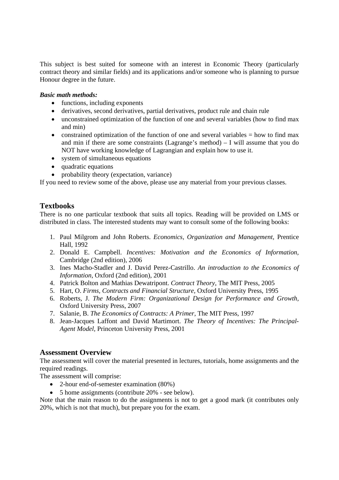This subject is best suited for someone with an interest in Economic Theory (particularly contract theory and similar fields) and its applications and/or someone who is planning to pursue Honour degree in the future.

#### *Basic math methods:*

- functions, including exponents
- derivatives, second derivatives, partial derivatives, product rule and chain rule
- unconstrained optimization of the function of one and several variables (how to find max and min)
- constrained optimization of the function of one and several variables  $=$  how to find max and min if there are some constraints (Lagrange's method) – I will assume that you do NOT have working knowledge of Lagrangian and explain how to use it.
- system of simultaneous equations
- quadratic equations
- probability theory (expectation, variance)

If you need to review some of the above, please use any material from your previous classes.

# **Textbooks**

There is no one particular textbook that suits all topics. Reading will be provided on LMS or distributed in class. The interested students may want to consult some of the following books:

- 1. Paul Milgrom and John Roberts. *Economics, Organization and Management,* Prentice Hall, 1992
- 2. Donald E. Campbell. *Incentives: Motivation and the Economics of Information,*  Cambridge (2nd edition), 2006
- 3. Ines Macho-Stadler and J. David Perez-Castrillo. *An introduction to the Economics of Information*, Oxford (2nd edition), 2001
- 4. Patrick Bolton and Mathias Dewatripont. *Contract Theory,* The MIT Press, 2005
- 5. Hart, O. *Firms, Contracts and Financial Structure,* Oxford University Press, 1995
- 6. Roberts, J. *The Modern Firm: Organizational Design for Performance and Growth,*  Oxford University Press, 2007
- 7. Salanie, B. *The Economics of Contracts: A Primer,* The MIT Press, 1997
- 8. Jean-Jacques Laffont and David Martimort. *The Theory of Incentives: The Principal-Agent Model,* Princeton University Press, 2001

#### **Assessment Overview**

The assessment will cover the material presented in lectures, tutorials, home assignments and the required readings.

The assessment will comprise:

- 2-hour end-of-semester examination (80%)
- 5 home assignments (contribute 20% see below).

Note that the main reason to do the assignments is not to get a good mark (it contributes only 20%, which is not that much), but prepare you for the exam.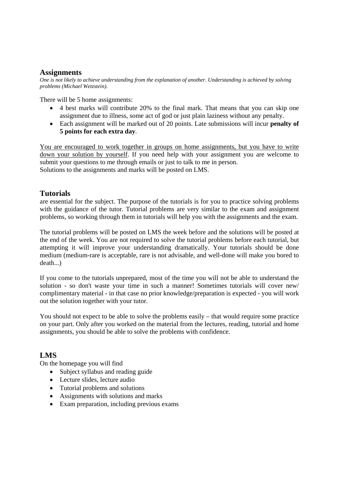#### **Assignments**

*One is not likely to achieve understanding from the explanation of another. Understanding is achieved by solving problems (Michael Wetzstein).* 

There will be 5 home assignments:

- 4 best marks will contribute 20% to the final mark. That means that you can skip one assignment due to illness, some act of god or just plain laziness without any penalty.
- Each assignment will be marked out of 20 points. Late submissions will incur **penalty of 5 points for each extra day**.

You are encouraged to work together in groups on home assignments, but you have to write down your solution by yourself. If you need help with your assignment you are welcome to submit your questions to me through emails or just to talk to me in person. Solutions to the assignments and marks will be posted on LMS.

### **Tutorials**

are essential for the subject. The purpose of the tutorials is for you to practice solving problems with the guidance of the tutor. Tutorial problems are very similar to the exam and assignment problems, so working through them in tutorials will help you with the assignments and the exam.

The tutorial problems will be posted on LMS the week before and the solutions will be posted at the end of the week. You are not required to solve the tutorial problems before each tutorial, but attempting it will improve your understanding dramatically. Your tutorials should be done medium (medium-rare is acceptable, rare is not advisable, and well-done will make you bored to death...)

If you come to the tutorials unprepared, most of the time you will not be able to understand the solution - so don't waste your time in such a manner! Sometimes tutorials will cover new/ complimentary material - in that case no prior knowledge/preparation is expected - you will work out the solution together with your tutor.

You should not expect to be able to solve the problems easily – that would require some practice on your part. Only after you worked on the material from the lectures, reading, tutorial and home assignments, you should be able to solve the problems with confidence.

# **LMS**

On the homepage you will find

- Subject syllabus and reading guide
- Lecture slides, lecture audio
- Tutorial problems and solutions
- Assignments with solutions and marks
- Exam preparation, including previous exams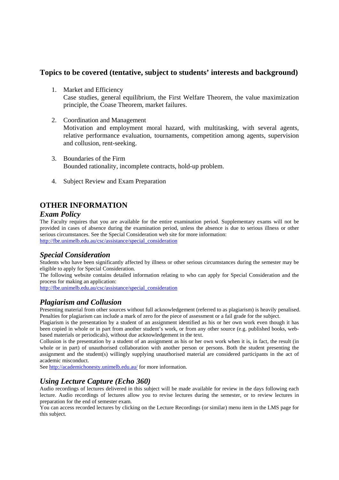# **Topics to be covered (tentative, subject to students' interests and background)**

1. Market and Efficiency

Case studies, general equilibrium, the First Welfare Theorem, the value maximization principle, the Coase Theorem, market failures.

2. Coordination and Management

Motivation and employment moral hazard, with multitasking, with several agents, relative performance evaluation, tournaments, competition among agents, supervision and collusion, rent-seeking.

- 3. Boundaries of the Firm Bounded rationality, incomplete contracts, hold-up problem.
- 4. Subject Review and Exam Preparation

# **OTHER INFORMATION**

#### *Exam Policy*

The Faculty requires that you are available for the entire examination period. Supplementary exams will not be provided in cases of absence during the examination period, unless the absence is due to serious illness or other serious circumstances. See the Special Consideration web site for more information: http://fbe.unimelb.edu.au/csc/assistance/special\_consideration

# *Special Consideration*

Students who have been significantly affected by illness or other serious circumstances during the semester may be eligible to apply for Special Consideration.

The following website contains detailed information relating to who can apply for Special Consideration and the process for making an application:

http://fbe.unimelb.edu.au/csc/assistance/special\_consideration

#### *Plagiarism and Collusion*

Presenting material from other sources without full acknowledgement (referred to as plagiarism) is heavily penalised. Penalties for plagiarism can include a mark of zero for the piece of assessment or a fail grade for the subject.

Plagiarism is the presentation by a student of an assignment identified as his or her own work even though it has been copied in whole or in part from another student's work, or from any other source (e.g. published books, webbased materials or periodicals), without due acknowledgement in the text.

Collusion is the presentation by a student of an assignment as his or her own work when it is, in fact, the result (in whole or in part) of unauthorised collaboration with another person or persons. Both the student presenting the assignment and the student(s) willingly supplying unauthorised material are considered participants in the act of academic misconduct.

See http://academichonesty.unimelb.edu.au/ for more information.

#### *Using Lecture Capture (Echo 360)*

Audio recordings of lectures delivered in this subject will be made available for review in the days following each lecture. Audio recordings of lectures allow you to revise lectures during the semester, or to review lectures in preparation for the end of semester exam.

You can access recorded lectures by clicking on the Lecture Recordings (or similar) menu item in the LMS page for this subject.